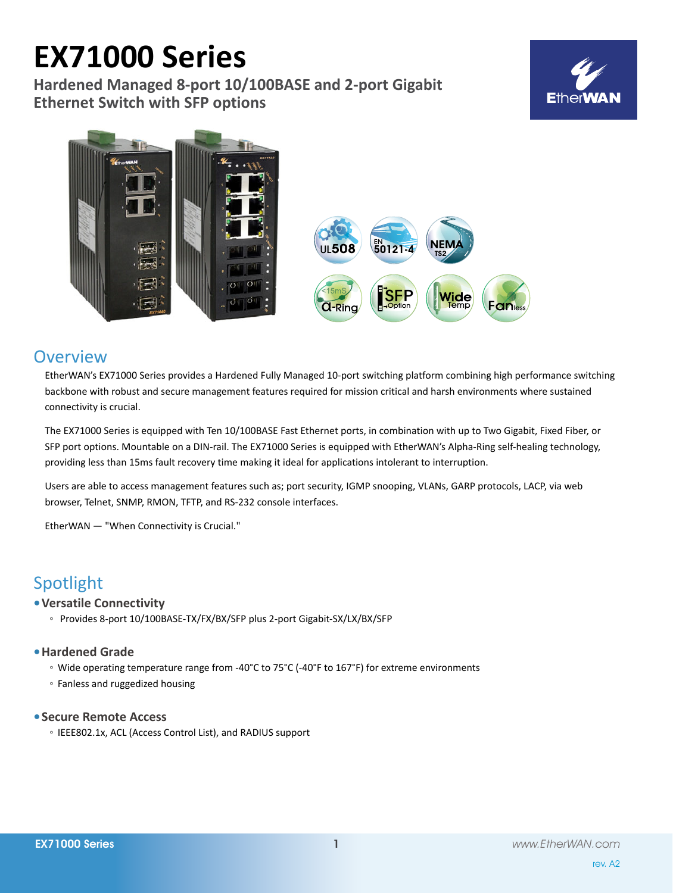# **EX71000 Series**

**Hardened Managed 8-port 10/100BASE and 2-port Gigabit Ethernet Switch with SFP options**







# **Overview**

EtherWAN's EX71000 Series provides a Hardened Fully Managed 10-port switching platform combining high performance switching backbone with robust and secure management features required for mission critical and harsh environments where sustained connectivity is crucial.

The EX71000 Series is equipped with Ten 10/100BASE Fast Ethernet ports, in combination with up to Two Gigabit, Fixed Fiber, or SFP port options. Mountable on a DIN-rail. The EX71000 Series is equipped with EtherWAN's Alpha-Ring self-healing technology, providing less than 15ms fault recovery time making it ideal for applications intolerant to interruption.

Users are able to access management features such as; port security, IGMP snooping, VLANs, GARP protocols, LACP, via web browser, Telnet, SNMP, RMON, TFTP, and RS-232 console interfaces.

EtherWAN — "When Connectivity is Crucial."

# Spotlight

# **• Versatile Connectivity**

◦ Provides 8-port 10/100BASE-TX/FX/BX/SFP plus 2-port Gigabit-SX/LX/BX/SFP

# **• Hardened Grade**

- Wide operating temperature range from -40°C to 75°C (-40°F to 167°F) for extreme environments
- Fanless and ruggedized housing

# **• Secure Remote Access**

◦ IEEE802.1x, ACL (Access Control List), and RADIUS support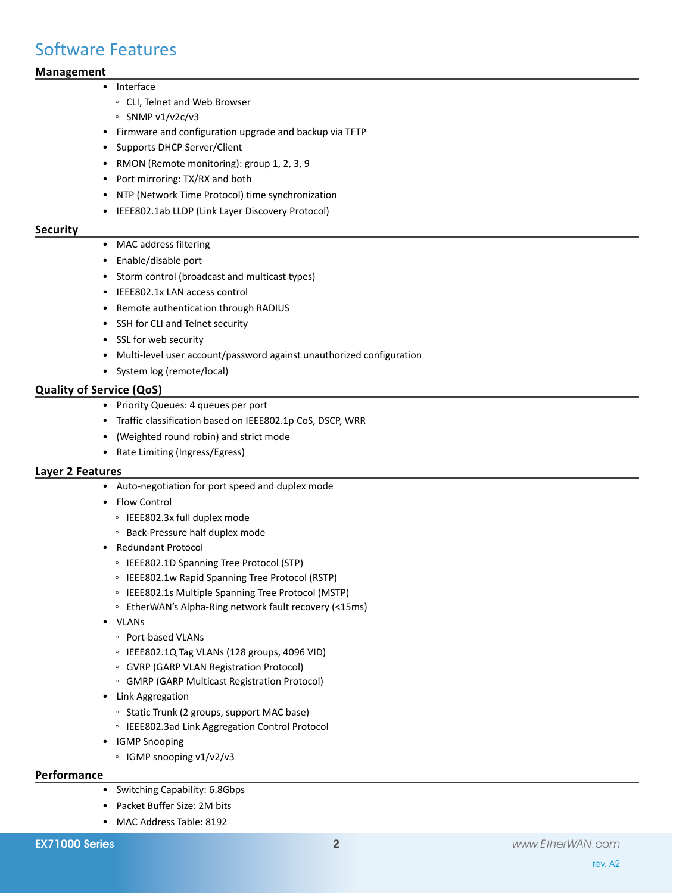# Software Features

# **Management**

#### • Interface

- CLI, Telnet and Web Browser
- SNMP v1/v2c/v3
- • Firmware and configuration upgrade and backup via TFTP
- • Supports DHCP Server/Client
- RMON (Remote monitoring): group 1, 2, 3, 9
- • Port mirroring: TX/RX and both
- • NTP (Network Time Protocol) time synchronization
- • IEEE802.1ab LLDP (Link Layer Discovery Protocol)

#### **Security**

- MAC address filtering
- • Enable/disable port
- Storm control (broadcast and multicast types)
- IEEE802.1x LAN access control
- • Remote authentication through RADIUS
- • SSH for CLI and Telnet security
- • SSL for web security
- Multi-level user account/password against unauthorized configuration
- • System log (remote/local)

### **Quality of Service (QoS)**

- • Priority Queues: 4 queues per port
- • Traffic classification based on IEEE802.1p CoS, DSCP, WRR
- • (Weighted round robin) and strict mode
- • Rate Limiting (Ingress/Egress)

#### **Layer 2 Features**

- • Auto-negotiation for port speed and duplex mode
- • Flow Control
	- IEEE802.3x full duplex mode
	- Back-Pressure half duplex mode
- • Redundant Protocol
	- IEEE802.1D Spanning Tree Protocol (STP)
	- IEEE802.1w Rapid Spanning Tree Protocol (RSTP)
	- IEEE802.1s Multiple Spanning Tree Protocol (MSTP)
	- EtherWAN's Alpha-Ring network fault recovery (<15ms)
- • VLANs
	- Port-based VLANs
	- IEEE802.1Q Tag VLANs (128 groups, 4096 VID)
	- GVRP (GARP VLAN Registration Protocol)
	- GMRP (GARP Multicast Registration Protocol)
- • Link Aggregation
	- Static Trunk (2 groups, support MAC base)
	- IEEE802.3ad Link Aggregation Control Protocol
- • IGMP Snooping
	- IGMP snooping v1/v2/v3

## **Performance**

- • Switching Capability: 6.8Gbps
- • Packet Buffer Size: 2M bits
- MAC Address Table: 8192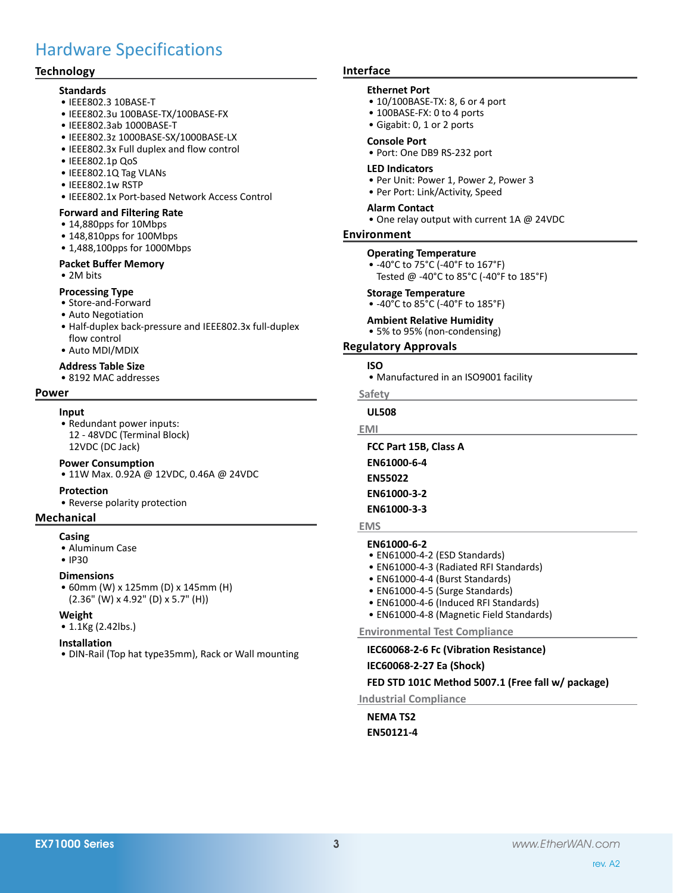# Hardware Specifications

### **Technology**

#### **Standards**

- • IEEE802.3 10BASE-T
- • IEEE802.3u 100BASE-TX/100BASE-FX
- • IEEE802.3ab 1000BASE-T
- • IEEE802.3z 1000BASE-SX/1000BASE-LX
- • IEEE802.3x Full duplex and flow control
- • IEEE802.1p QoS
- • IEEE802.1Q Tag VLANs
- • IEEE802.1w RSTP
- IEEE802.1x Port-based Network Access Control

#### **Forward and Filtering Rate**

- • 14,880pps for 10Mbps
- 148,810pps for 100Mbps
- 1,488,100pps for 1000Mbps

#### **Packet Buffer Memory**

• 2M bits

#### **Processing Type**

- • Store-and-Forward
- • Auto Negotiation
- • Half-duplex back-pressure and IEEE802.3x full-duplex flow control
- • Auto MDI/MDIX

## **Address Table Size**

• 8192 MAC addresses

#### **Power**

#### **Input**

• Redundant power inputs: 12 - 48VDC (Terminal Block) 12VDC (DC Jack)

#### **Power Consumption**

• 11W Max. 0.92A @ 12VDC, 0.46A @ 24VDC

#### **Protection**

• Reverse polarity protection

#### **Mechanical**

#### **Casing**

- • Aluminum Case
- • IP30

#### **Dimensions**

• 60mm (W) x 125mm (D) x 145mm (H) (2.36" (W) x 4.92" (D) x 5.7" (H))

#### **Weight**

• 1.1Kg (2.42lbs.)

#### **Installation**

• DIN-Rail (Top hat type35mm), Rack or Wall mounting

#### **Interface**

#### **Ethernet Port**

- 10/100BASE-TX: 8, 6 or 4 port
- 100BASE-FX: 0 to 4 ports
- • Gigabit: 0, 1 or 2 ports

#### **Console Port**

• Port: One DB9 RS-232 port

#### **LED Indicators**

- Per Unit: Power 1, Power 2, Power 3
- Per Port: Link/Activity, Speed

#### **Alarm Contact**

• One relay output with current 1A @ 24VDC

#### **Environment**

#### **Operating Temperature**

• -40°C to 75°C (-40°F to 167°F) Tested @ -40°C to 85°C (-40°F to 185°F)

#### **Storage Temperature**

•  $-40^{\circ}$ C to  $85^{\circ}$ C ( $-40^{\circ}$ F to  $185^{\circ}$ F)

#### **Ambient Relative Humidity**

• 5% to 95% (non-condensing)

**Regulatory Approvals**

#### **ISO**

• Manufactured in an ISO9001 facility

**Safety**

## **UL508**

**EMI**

**FCC Part 15B, Class A**

**EN61000-6-4**

- **EN55022**
- **EN61000-3-2**

#### **EN61000-3-3**

#### **EMS**

## **EN61000-6-2**

- • EN61000-4-2 (ESD Standards)
- • EN61000-4-3 (Radiated RFI Standards)
- EN61000-4-4 (Burst Standards)
- EN61000-4-5 (Surge Standards)
- EN61000-4-6 (Induced RFI Standards)
- • EN61000-4-8 (Magnetic Field Standards)

**Environmental Test Compliance**

### **IEC60068-2-6 Fc (Vibration Resistance)**

**IEC60068-2-27 Ea (Shock)**

### **FED STD 101C Method 5007.1 (Free fall w/ package)**

**Industrial Compliance**

**NEMA TS2 EN50121-4**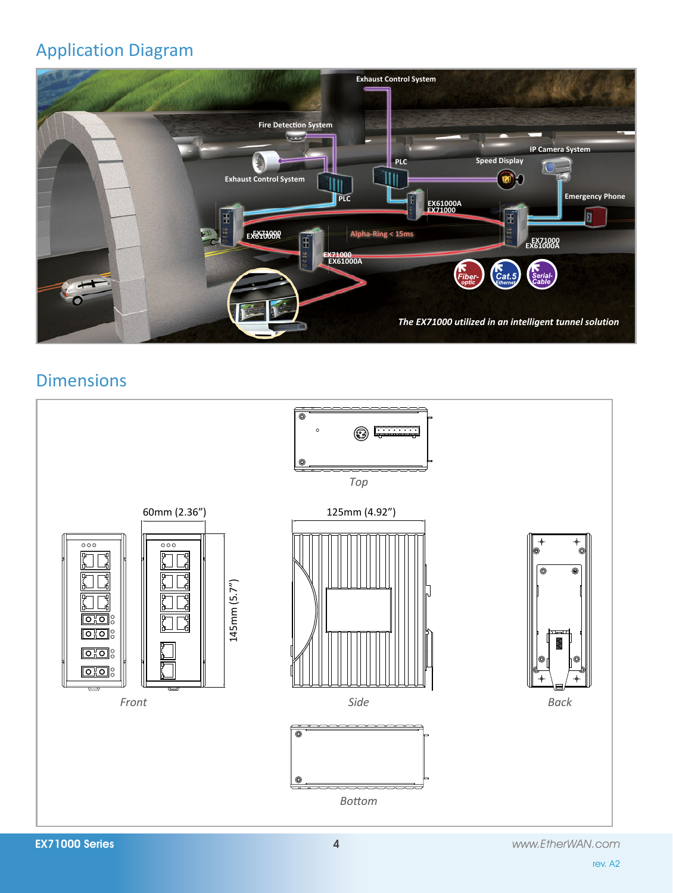# Application Diagram



# **Dimensions**

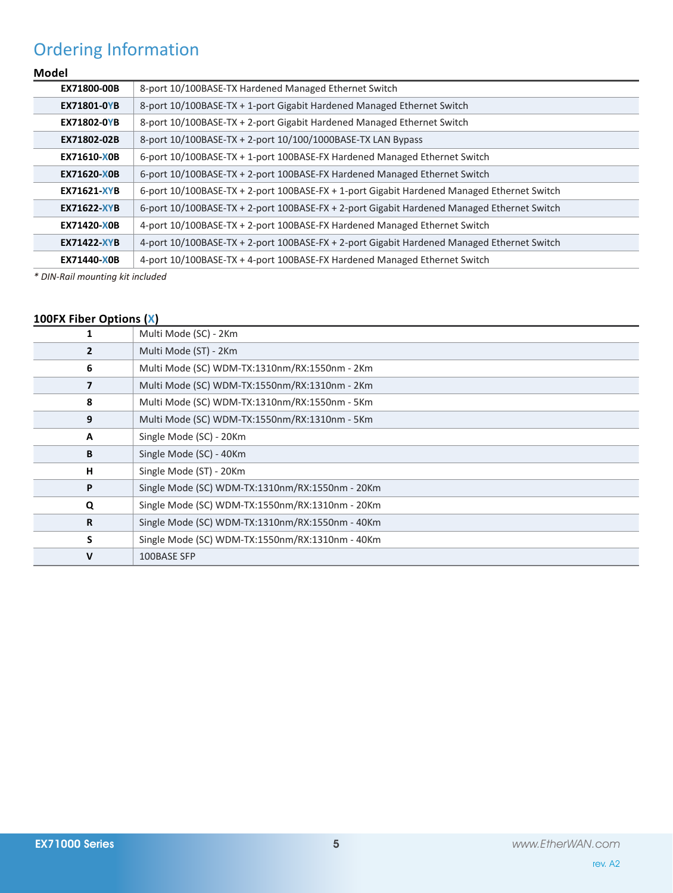# Ordering Information

# **Model**

| EX71800-00B        | 8-port 10/100BASE-TX Hardened Managed Ethernet Switch                                      |
|--------------------|--------------------------------------------------------------------------------------------|
| <b>EX71801-0YB</b> | 8-port 10/100BASE-TX + 1-port Gigabit Hardened Managed Ethernet Switch                     |
| <b>EX71802-0YB</b> | 8-port 10/100BASE-TX + 2-port Gigabit Hardened Managed Ethernet Switch                     |
| EX71802-02B        | 8-port 10/100BASE-TX + 2-port 10/100/1000BASE-TX LAN Bypass                                |
| EX71610-X0B        | 6-port 10/100BASE-TX + 1-port 100BASE-FX Hardened Managed Ethernet Switch                  |
| <b>EX71620-X0B</b> | 6-port 10/100BASE-TX + 2-port 100BASE-FX Hardened Managed Ethernet Switch                  |
| <b>EX71621-XYB</b> | 6-port 10/100BASE-TX + 2-port 100BASE-FX + 1-port Gigabit Hardened Managed Ethernet Switch |
| <b>EX71622-XYB</b> | 6-port 10/100BASE-TX + 2-port 100BASE-FX + 2-port Gigabit Hardened Managed Ethernet Switch |
| EX71420-X0B        | 4-port 10/100BASE-TX + 2-port 100BASE-FX Hardened Managed Ethernet Switch                  |
| <b>EX71422-XYB</b> | 4-port 10/100BASE-TX + 2-port 100BASE-FX + 2-port Gigabit Hardened Managed Ethernet Switch |
| EX71440-X0B        | 4-port 10/100BASE-TX + 4-port 100BASE-FX Hardened Managed Ethernet Switch                  |

*\* DIN-Rail mounting kit included*

# **100FX Fiber Options (X)**

|                | Multi Mode (SC) - 2Km                           |
|----------------|-------------------------------------------------|
| $\overline{2}$ | Multi Mode (ST) - 2Km                           |
| 6              | Multi Mode (SC) WDM-TX:1310nm/RX:1550nm - 2Km   |
|                | Multi Mode (SC) WDM-TX:1550nm/RX:1310nm - 2Km   |
| 8              | Multi Mode (SC) WDM-TX:1310nm/RX:1550nm - 5Km   |
| 9              | Multi Mode (SC) WDM-TX:1550nm/RX:1310nm - 5Km   |
| A              | Single Mode (SC) - 20Km                         |
| B              | Single Mode (SC) - 40Km                         |
| н              | Single Mode (ST) - 20Km                         |
| P              | Single Mode (SC) WDM-TX:1310nm/RX:1550nm - 20Km |
| Q              | Single Mode (SC) WDM-TX:1550nm/RX:1310nm - 20Km |
| R              | Single Mode (SC) WDM-TX:1310nm/RX:1550nm - 40Km |
| S              | Single Mode (SC) WDM-TX:1550nm/RX:1310nm - 40Km |
| v              | 100BASE SFP                                     |